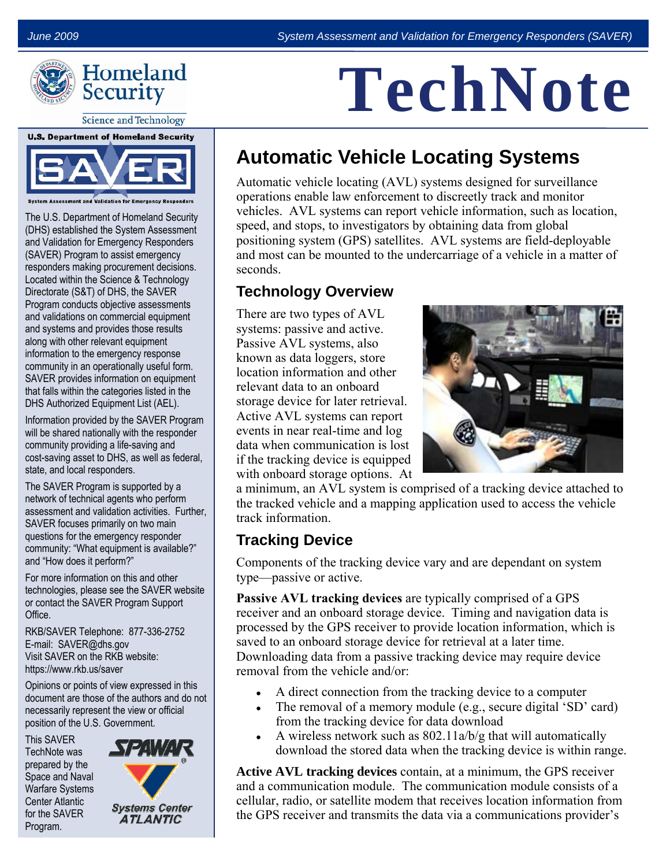

**Science and Technology** 



The U.S. Department of Homeland Security (DHS) established the System Assessment and Validation for Emergency Responders (SAVER) Program to assist emergency responders making procurement decisions. Located within the Science & Technology Directorate (S&T) of DHS, the SAVER Program conducts objective assessments and validations on commercial equipment and systems and provides those results along with other relevant equipment information to the emergency response community in an operationally useful form. SAVER provides information on equipment that falls within the categories listed in the DHS Authorized Equipment List (AEL).

Information provided by the SAVER Program will be shared nationally with the responder community providing a life-saving and cost-saving asset to DHS, as well as federal, state, and local responders.

The SAVER Program is supported by a network of technical agents who perform assessment and validation activities. Further, SAVER focuses primarily on two main questions for the emergency responder community: "What equipment is available?" and "How does it perform?"

For more information on this and other technologies, please see the SAVER website or contact the SAVER Program Support Office.

RKB/SAVER Telephone: 877-336-2752 E-mail: SAVER@dhs.gov Visit SAVER on the RKB website: https://www.rkb.us/saver

Opinions or points of view expressed in this document are those of the authors and do not necessarily represent the view or official position of the U.S. Government.

This SAVER TechNote was prepared by the Space and Naval Warfare Systems Center Atlantic for the SAVER Program.



# **TechNote**

# **Automatic Vehicle Locating Systems**

Automatic vehicle locating (AVL) systems designed for surveillance operations enable law enforcement to discreetly track and monitor vehicles. AVL systems can report vehicle information, such as location, speed, and stops, to investigators by obtaining data from global positioning system (GPS) satellites. AVL systems are field-deployable and most can be mounted to the undercarriage of a vehicle in a matter of seconds.

## **Technology Overview**

There are two types of AVL systems: passive and active. Passive AVL systems, also known as data loggers, store location information and other relevant data to an onboard storage device for later retrieval. Active AVL systems can report events in near real-time and log data when communication is lost if the tracking device is equipped with onboard storage options. At



a minimum, an AVL system is comprised of a tracking device attached to the tracked vehicle and a mapping application used to access the vehicle track information.

## **Tracking Device**

Components of the tracking device vary and are dependant on system type—passive or active.

**Passive AVL tracking devices** are typically comprised of a GPS receiver and an onboard storage device. Timing and navigation data is processed by the GPS receiver to provide location information, which is saved to an onboard storage device for retrieval at a later time. Downloading data from a passive tracking device may require device removal from the vehicle and/or:

- A direct connection from the tracking device to a computer
- The removal of a memory module (e.g., secure digital 'SD' card) from the tracking device for data download
- A wireless network such as  $802.11a/b/g$  that will automatically download the stored data when the tracking device is within range.

**Active AVL tracking devices** contain, at a minimum, the GPS receiver and a communication module. The communication module consists of a cellular, radio, or satellite modem that receives location information from the GPS receiver and transmits the data via a communications provider's